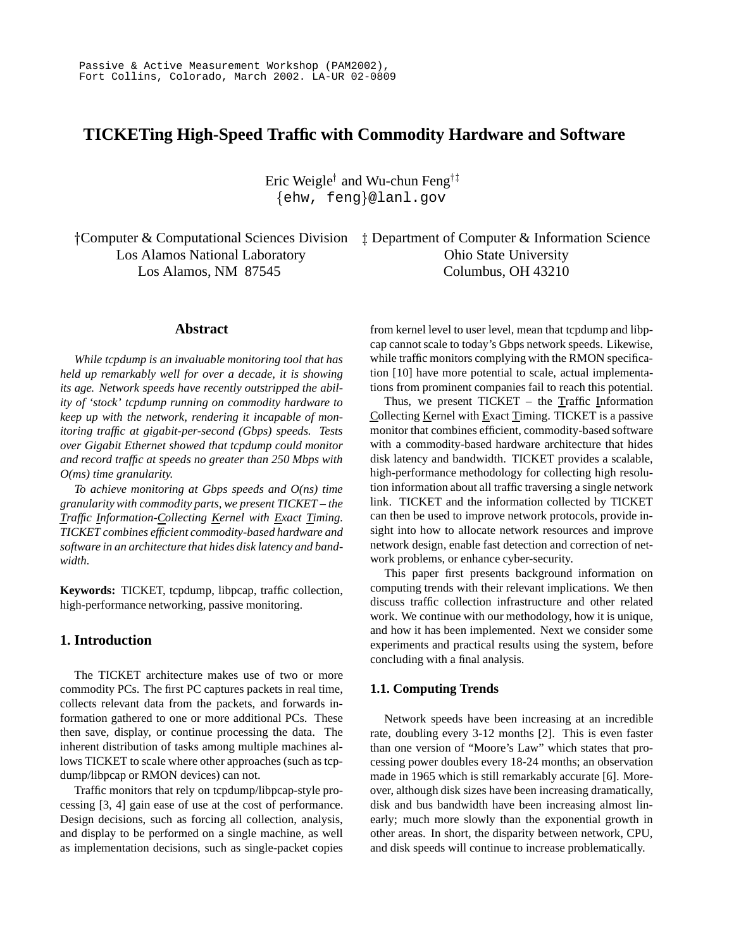# **TICKETing High-Speed Traffic with Commodity Hardware and Software**

Eric Weigle<sup>†</sup> and Wu-chun Feng<sup>†‡</sup>  $\{$ ehw, feng $\}$ @lanl.gov

† Computer & Computational Sciences Division  $\quad$  Department of Computer & Information Science Los Alamos National Laboratory Ohio State University Los Alamos, NM 87545 Columbus, OH 43210

### **Abstract**

*While tcpdump is an invaluable monitoring tool that has held up remarkably well for over a decade, it is showing its age. Network speeds have recently outstripped the ability of 'stock' tcpdump running on commodity hardware to keep up with the network, rendering it incapable of monitoring traffic at gigabit-per-second (Gbps) speeds. Tests over Gigabit Ethernet showed that tcpdump could monitor and record traffic at speeds no greater than 250 Mbps with O(ms) time granularity.*

*To achieve monitoring at Gbps speeds and O(ns) time granularity with commodity parts, we present TICKET – the Traffic Information-Collecting Kernel with Exact Timing. TICKET combines efficient commodity-based hardware and software in an architecture that hides disk latency and bandwidth.*

**Keywords:** TICKET, tcpdump, libpcap, traffic collection, high-performance networking, passive monitoring.

# **1. Introduction**

The TICKET architecture makes use of two or more commodity PCs. The first PC captures packets in real time, collects relevant data from the packets, and forwards information gathered to one or more additional PCs. These then save, display, or continue processing the data. The inherent distribution of tasks among multiple machines allows TICKET to scale where other approaches (such as tcpdump/libpcap or RMON devices) can not.

Traffic monitors that rely on tcpdump/libpcap-style processing [3, 4] gain ease of use at the cost of performance. Design decisions, such as forcing all collection, analysis, and display to be performed on a single machine, as well as implementation decisions, such as single-packet copies from kernel level to user level, mean that tcpdump and libpcap cannot scale to today's Gbps network speeds. Likewise, while traffic monitors complying with the RMON specification [10] have more potential to scale, actual implementations from prominent companies fail to reach this potential.

Thus, we present  $TICKET -$  the Traffic Information Collecting Kernel with Exact Timing. TICKET is a passive monitor that combines efficient, commodity-based software with a commodity-based hardware architecture that hides disk latency and bandwidth. TICKET provides a scalable, high-performance methodology for collecting high resolution information about all traffic traversing a single network link. TICKET and the information collected by TICKET can then be used to improve network protocols, provide insight into how to allocate network resources and improve network design, enable fast detection and correction of network problems, or enhance cyber-security.

This paper first presents background information on computing trends with their relevant implications. We then discuss traffic collection infrastructure and other related work. We continue with our methodology, how it is unique, and how it has been implemented. Next we consider some experiments and practical results using the system, before concluding with a final analysis.

#### **1.1. Computing Trends**

Network speeds have been increasing at an incredible rate, doubling every 3-12 months [2]. This is even faster than one version of "Moore's Law" which states that processing power doubles every 18-24 months; an observation made in 1965 which is still remarkably accurate [6]. Moreover, although disk sizes have been increasing dramatically, disk and bus bandwidth have been increasing almost linearly; much more slowly than the exponential growth in other areas. In short, the disparity between network, CPU, and disk speeds will continue to increase problematically.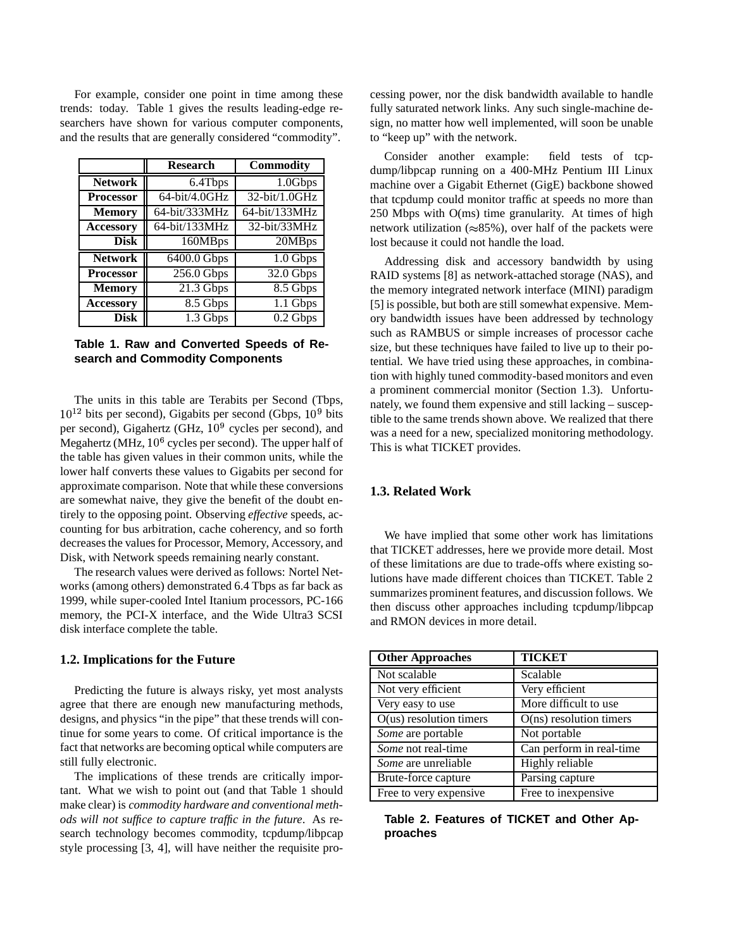For example, consider one point in time among these trends: today. Table 1 gives the results leading-edge researchers have shown for various computer components, and the results that are generally considered "commodity".

|                  | <b>Research</b>       | <b>Commodity</b>      |
|------------------|-----------------------|-----------------------|
| <b>Network</b>   | $\overline{6.4}$ Tbps | 1.0Gbps               |
| <b>Processor</b> | 64-bit/4.0GHz         | 32-bit/1.0GHz         |
| <b>Memory</b>    | 64-bit/333MHz         | 64-bit/133MHz         |
| <b>Accessory</b> | 64-bit/133MHz         | 32-bit/33MHz          |
| <b>Disk</b>      | 160MBps               | 20MBps                |
| <b>Network</b>   | 6400.0 Gbps           | 1.0 Gbps              |
| <b>Processor</b> | $256.0$ Gbps          | 32.0 Gbps             |
| <b>Memory</b>    | $21.3$ Gbps           | $8.5$ Gbps            |
| <b>Accessory</b> | $8.5$ Gbps            | $1.1$ Gbps            |
| Disk             | 1.3 Gbps              | $\overline{0.2}$ Gbps |

### **Table 1. Raw and Converted Speeds of Research and Commodity Components**

The units in this table are Terabits per Second (Tbps,  $10^{12}$  bits per second), Gigabits per second (Gbps,  $10^9$  bits per second), Gigahertz (GHz,  $10<sup>9</sup>$  cycles per second), and Megahertz (MHz,  $10^6$  cycles per second). The upper half of the table has given values in their common units, while the lower half converts these values to Gigabits per second for approximate comparison. Note that while these conversions are somewhat naive, they give the benefit of the doubt entirely to the opposing point. Observing *effective* speeds, accounting for bus arbitration, cache coherency, and so forth decreasesthe valuesfor Processor, Memory, Accessory, and Disk, with Network speeds remaining nearly constant.

The research values were derived as follows: Nortel Networks (among others) demonstrated 6.4 Tbps as far back as 1999, while super-cooled Intel Itanium processors, PC-166 memory, the PCI-X interface, and the Wide Ultra3 SCSI disk interface complete the table.

#### **1.2. Implications for the Future**

Predicting the future is always risky, yet most analysts agree that there are enough new manufacturing methods, designs, and physics "in the pipe" that these trends will continue for some years to come. Of critical importance is the fact that networks are becoming optical while computers are still fully electronic.

The implications of these trends are critically important. What we wish to point out (and that Table 1 should make clear) is *commodity hardware and conventional methods will not suffice to capture traffic in the future*. As research technology becomes commodity, tcpdump/libpcap style processing [3, 4], will have neither the requisite processing power, nor the disk bandwidth available to handle fully saturated network links. Any such single-machine design, no matter how well implemented, will soon be unable to "keep up" with the network.

Consider another example: field tests of tcpdump/libpcap running on a 400-MHz Pentium III Linux machine over a Gigabit Ethernet (GigE) backbone showed that tcpdump could monitor traffic at speeds no more than 250 Mbps with O(ms) time granularity. At times of high network utilization ( $\approx 85\%$ ), over half of the packets were lost because it could not handle the load.

Addressing disk and accessory bandwidth by using RAID systems [8] as network-attached storage (NAS), and the memory integrated network interface (MINI) paradigm [5] is possible, but both are still somewhat expensive. Memory bandwidth issues have been addressed by technology such as RAMBUS or simple increases of processor cache size, but these techniques have failed to live up to their potential. We have tried using these approaches, in combination with highly tuned commodity-based monitors and even a prominent commercial monitor (Section 1.3). Unfortunately, we found them expensive and still lacking – susceptible to the same trends shown above. We realized that there was a need for a new, specialized monitoring methodology. This is what TICKET provides.

# **1.3. Related Work**

We have implied that some other work has limitations that TICKET addresses, here we provide more detail. Most of these limitations are due to trade-offs where existing solutions have made different choices than TICKET. Table 2 summarizes prominent features, and discussion follows. We then discuss other approaches including tcpdump/libpcap and RMON devices in more detail.

| <b>Other Approaches</b>   | <b>TICKET</b>             |
|---------------------------|---------------------------|
| Not scalable              | Scalable                  |
| Not very efficient        | Very efficient            |
| Very easy to use          | More difficult to use     |
| $O(us)$ resolution timers | $O(ns)$ resolution timers |
| Some are portable         | Not portable              |
| Some not real-time        | Can perform in real-time  |
| Some are unreliable       | Highly reliable           |
| Brute-force capture       | Parsing capture           |
| Free to very expensive    | Free to inexpensive       |

**Table 2. Features of TICKET and Other Approaches**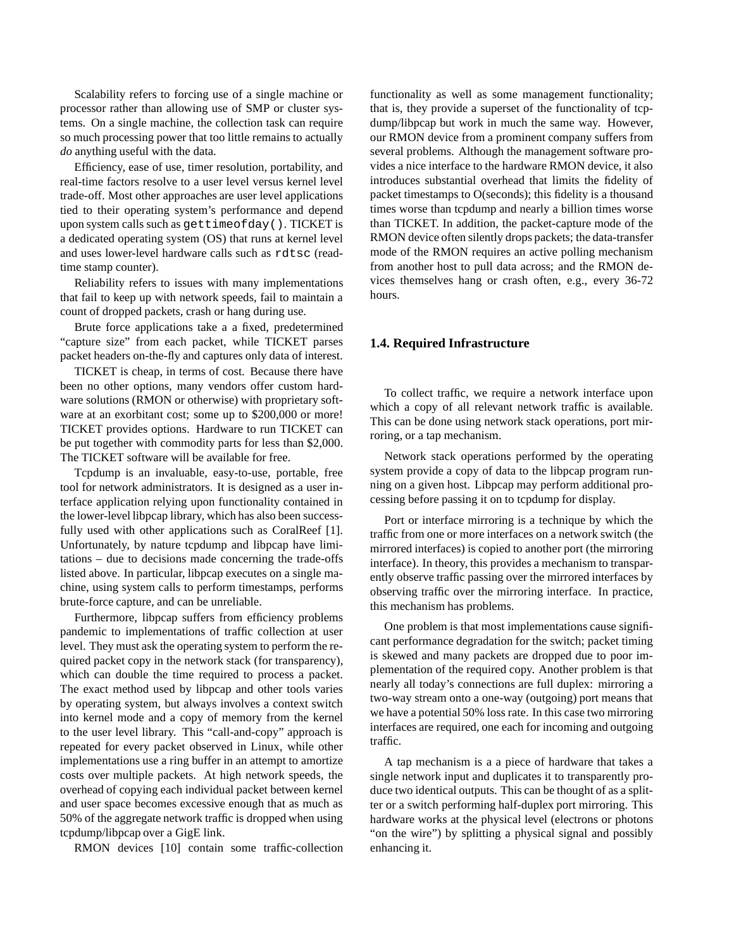Scalability refers to forcing use of a single machine or processor rather than allowing use of SMP or cluster systems. On a single machine, the collection task can require so much processing power that too little remains to actually *do* anything useful with the data.

Efficiency, ease of use, timer resolution, portability, and real-time factors resolve to a user level versus kernel level trade-off. Most other approaches are user level applications tied to their operating system's performance and depend upon system calls such as gettimeofday(). TICKET is a dedicated operating system (OS) that runs at kernel level and uses lower-level hardware calls such as rdtsc (readtime stamp counter).

Reliability refers to issues with many implementations that fail to keep up with network speeds, fail to maintain a count of dropped packets, crash or hang during use.

Brute force applications take a a fixed, predetermined "capture size" from each packet, while TICKET parses packet headers on-the-fly and captures only data of interest.

TICKET is cheap, in terms of cost. Because there have been no other options, many vendors offer custom hardware solutions (RMON or otherwise) with proprietary software at an exorbitant cost; some up to \$200,000 or more! TICKET provides options. Hardware to run TICKET can be put together with commodity parts for less than \$2,000. The TICKET software will be available for free.

Tcpdump is an invaluable, easy-to-use, portable, free tool for network administrators. It is designed as a user interface application relying upon functionality contained in the lower-level libpcap library, which has also been successfully used with other applications such as CoralReef [1]. Unfortunately, by nature tcpdump and libpcap have limitations – due to decisions made concerning the trade-offs listed above. In particular, libpcap executes on a single machine, using system calls to perform timestamps, performs brute-force capture, and can be unreliable.

Furthermore, libpcap suffers from efficiency problems pandemic to implementations of traffic collection at user level. They must ask the operating system to perform the required packet copy in the network stack (for transparency), which can double the time required to process a packet. The exact method used by libpcap and other tools varies by operating system, but always involves a context switch into kernel mode and a copy of memory from the kernel to the user level library. This "call-and-copy" approach is repeated for every packet observed in Linux, while other implementations use a ring buffer in an attempt to amortize costs over multiple packets. At high network speeds, the overhead of copying each individual packet between kernel and user space becomes excessive enough that as much as 50% of the aggregate network traffic is dropped when using tcpdump/libpcap over a GigE link.

RMON devices [10] contain some traffic-collection

functionality as well as some management functionality; that is, they provide a superset of the functionality of tcpdump/libpcap but work in much the same way. However, our RMON device from a prominent company suffers from several problems. Although the management software provides a nice interface to the hardware RMON device, it also introduces substantial overhead that limits the fidelity of packet timestamps to O(seconds); this fidelity is a thousand times worse than tcpdump and nearly a billion times worse than TICKET. In addition, the packet-capture mode of the RMON device often silently drops packets; the data-transfer mode of the RMON requires an active polling mechanism from another host to pull data across; and the RMON devices themselves hang or crash often, e.g., every 36-72 hours.

#### **1.4. Required Infrastructure**

To collect traffic, we require a network interface upon which a copy of all relevant network traffic is available. This can be done using network stack operations, port mirroring, or a tap mechanism.

Network stack operations performed by the operating system provide a copy of data to the libpcap program running on a given host. Libpcap may perform additional processing before passing it on to tcpdump for display.

Port or interface mirroring is a technique by which the traffic from one or more interfaces on a network switch (the mirrored interfaces) is copied to another port (the mirroring interface). In theory, this provides a mechanism to transparently observe traffic passing over the mirrored interfaces by observing traffic over the mirroring interface. In practice, this mechanism has problems.

One problem is that most implementations cause significant performance degradation for the switch; packet timing is skewed and many packets are dropped due to poor implementation of the required copy. Another problem is that nearly all today's connections are full duplex: mirroring a two-way stream onto a one-way (outgoing) port means that we have a potential 50% loss rate. In this case two mirroring interfaces are required, one each for incoming and outgoing traffic.

A tap mechanism is a a piece of hardware that takes a single network input and duplicates it to transparently produce two identical outputs. This can be thought of as a splitter or a switch performing half-duplex port mirroring. This hardware works at the physical level (electrons or photons "on the wire") by splitting a physical signal and possibly enhancing it.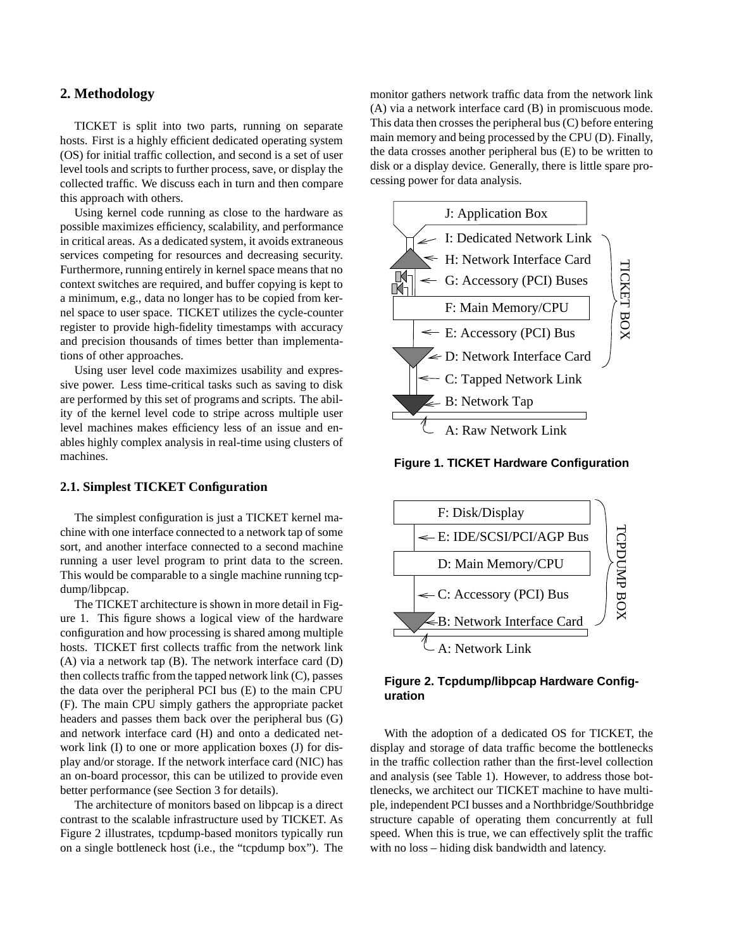# **2. Methodology**

TICKET is split into two parts, running on separate hosts. First is a highly efficient dedicated operating system (OS) for initial traffic collection, and second is a set of user level tools and scripts to further process, save, or display the collected traffic. We discuss each in turn and then compare this approach with others.

Using kernel code running as close to the hardware as possible maximizes efficiency, scalability, and performance in critical areas. As a dedicated system, it avoids extraneous services competing for resources and decreasing security. Furthermore, running entirely in kernel space means that no context switches are required, and buffer copying is kept to a minimum, e.g., data no longer has to be copied from kernel space to user space. TICKET utilizes the cycle-counter register to provide high-fidelity timestamps with accuracy and precision thousands of times better than implementations of other approaches.

Using user level code maximizes usability and expressive power. Less time-critical tasks such as saving to disk are performed by this set of programs and scripts. The ability of the kernel level code to stripe across multiple user level machines makes efficiency less of an issue and enables highly complex analysis in real-time using clusters of machines.

### **2.1. Simplest TICKET Configuration**

The simplest configuration is just a TICKET kernel machine with one interface connected to a network tap of some sort, and another interface connected to a second machine running a user level program to print data to the screen. This would be comparable to a single machine running tcpdump/libpcap.

The TICKET architecture is shown in more detail in Figure 1. This figure shows a logical view of the hardware configuration and how processing is shared among multiple hosts. TICKET first collects traffic from the network link (A) via a network tap (B). The network interface card (D) then collects traffic from the tapped network link (C), passes the data over the peripheral PCI bus (E) to the main CPU (F). The main CPU simply gathers the appropriate packet headers and passes them back over the peripheral bus (G) and network interface card (H) and onto a dedicated network link (I) to one or more application boxes (J) for display and/or storage. If the network interface card (NIC) has an on-board processor, this can be utilized to provide even better performance (see Section 3 for details).

The architecture of monitors based on libpcap is a direct contrast to the scalable infrastructure used by TICKET. As Figure 2 illustrates, tcpdump-based monitors typically run on a single bottleneck host (i.e., the "tcpdump box"). The

monitor gathers network traffic data from the network link (A) via a network interface card (B) in promiscuous mode. This data then crosses the peripheral bus (C) before entering main memory and being processed by the CPU (D). Finally, the data crosses another peripheral bus (E) to be written to disk or a display device. Generally, there is little spare processing power for data analysis.



**Figure 1. TICKET Hardware Configuration**





With the adoption of a dedicated OS for TICKET, the display and storage of data traffic become the bottlenecks in the traffic collection rather than the first-level collection and analysis (see Table 1). However, to address those bottlenecks, we architect our TICKET machine to have multiple, independent PCI busses and a Northbridge/Southbridge structure capable of operating them concurrently at full speed. When this is true, we can effectively split the traffic with no loss – hiding disk bandwidth and latency.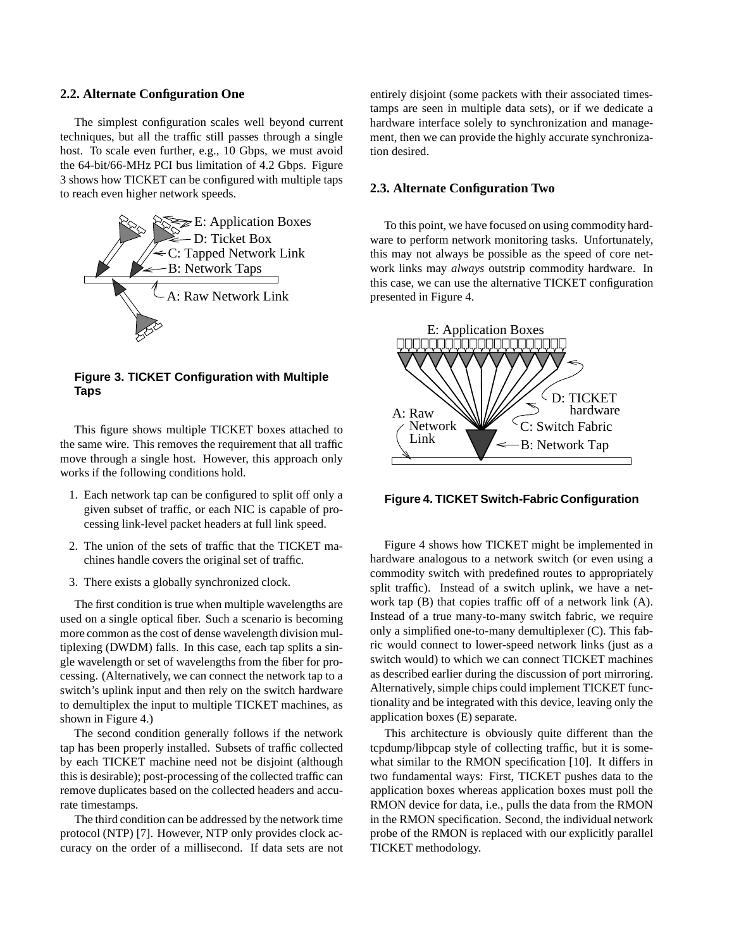#### **2.2. Alternate Configuration One**

The simplest configuration scales well beyond current techniques, but all the traffic still passes through a single host. To scale even further, e.g., 10 Gbps, we must avoid the 64-bit/66-MHz PCI bus limitation of 4.2 Gbps. Figure 3 shows how TICKET can be configured with multiple taps to reach even higher network speeds.



**Figure 3. TICKET Configuration with Multiple Taps**

This figure shows multiple TICKET boxes attached to the same wire. This removes the requirement that all traffic move through a single host. However, this approach only works if the following conditions hold.

- 1. Each network tap can be configured to split off only a given subset of traffic, or each NIC is capable of processing link-level packet headers at full link speed.
- 2. The union of the sets of traffic that the TICKET machines handle covers the original set of traffic.
- 3. There exists a globally synchronized clock.

The first condition is true when multiple wavelengths are used on a single optical fiber. Such a scenario is becoming more common as the cost of dense wavelength division multiplexing (DWDM) falls. In this case, each tap splits a single wavelength or set of wavelengths from the fiber for processing. (Alternatively, we can connect the network tap to a switch's uplink input and then rely on the switch hardware to demultiplex the input to multiple TICKET machines, as shown in Figure 4.)

The second condition generally follows if the network tap has been properly installed. Subsets of traffic collected by each TICKET machine need not be disjoint (although this is desirable); post-processing of the collected traffic can remove duplicates based on the collected headers and accurate timestamps.

The third condition can be addressed by the network time protocol (NTP) [7]. However, NTP only provides clock accuracy on the order of a millisecond. If data sets are not entirely disjoint (some packets with their associated timestamps are seen in multiple data sets), or if we dedicate a hardware interface solely to synchronization and management, then we can provide the highly accurate synchronization desired.

#### **2.3. Alternate Configuration Two**

To this point, we have focused on using commodity hardware to perform network monitoring tasks. Unfortunately, this may not always be possible as the speed of core network links may *always* outstrip commodity hardware. In this case, we can use the alternative TICKET configuration presented in Figure 4.



**Figure 4. TICKET Switch-Fabric Configuration**

Figure 4 shows how TICKET might be implemented in hardware analogous to a network switch (or even using a commodity switch with predefined routes to appropriately split traffic). Instead of a switch uplink, we have a network tap (B) that copies traffic off of a network link (A). Instead of a true many-to-many switch fabric, we require only a simplified one-to-many demultiplexer (C). This fabric would connect to lower-speed network links (just as a switch would) to which we can connect TICKET machines as described earlier during the discussion of port mirroring. Alternatively, simple chips could implement TICKET functionality and be integrated with this device, leaving only the application boxes (E) separate.

This architecture is obviously quite different than the tcpdump/libpcap style of collecting traffic, but it is somewhat similar to the RMON specification [10]. It differs in two fundamental ways: First, TICKET pushes data to the application boxes whereas application boxes must poll the RMON device for data, i.e., pulls the data from the RMON in the RMON specification. Second, the individual network probe of the RMON is replaced with our explicitly parallel TICKET methodology.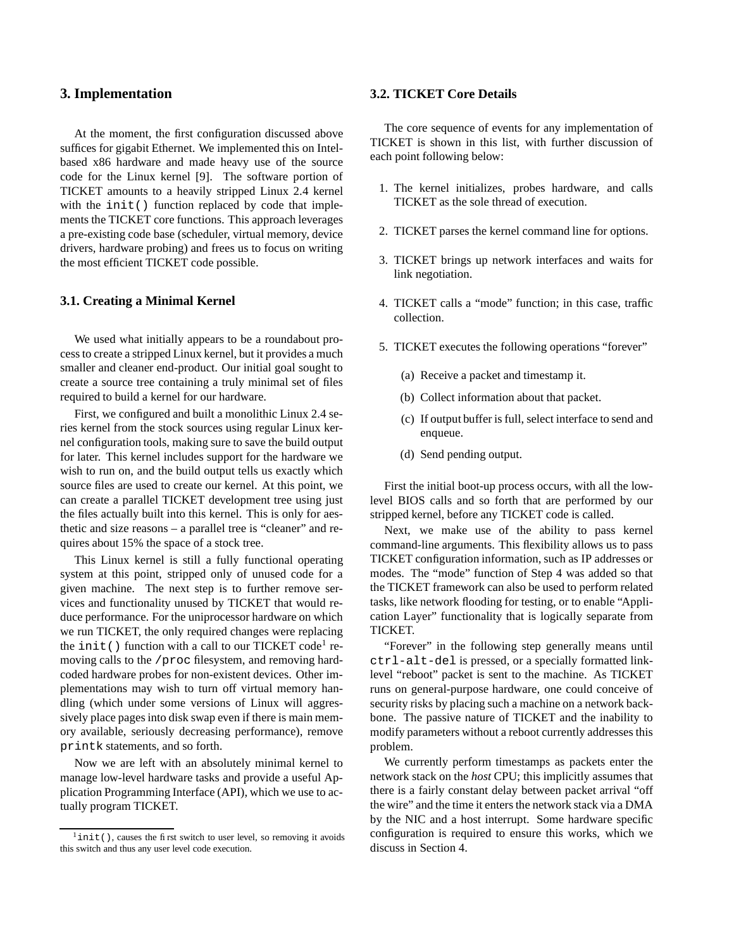# **3. Implementation**

At the moment, the first configuration discussed above suffices for gigabit Ethernet. We implemented this on Intelbased x86 hardware and made heavy use of the source code for the Linux kernel [9]. The software portion of TICKET amounts to a heavily stripped Linux 2.4 kernel with the init() function replaced by code that implements the TICKET core functions. This approach leverages a pre-existing code base (scheduler, virtual memory, device drivers, hardware probing) and frees us to focus on writing the most efficient TICKET code possible.

#### **3.1. Creating a Minimal Kernel**

We used what initially appears to be a roundabout process to create a stripped Linux kernel, but it provides a much smaller and cleaner end-product. Our initial goal sought to create a source tree containing a truly minimal set of files required to build a kernel for our hardware.

First, we configured and built a monolithic Linux 2.4 series kernel from the stock sources using regular Linux kernel configuration tools, making sure to save the build output for later. This kernel includes support for the hardware we wish to run on, and the build output tells us exactly which source files are used to create our kernel. At this point, we can create a parallel TICKET development tree using just the files actually built into this kernel. This is only for aesthetic and size reasons – a parallel tree is "cleaner" and requires about 15% the space of a stock tree.

This Linux kernel is still a fully functional operating system at this point, stripped only of unused code for a given machine. The next step is to further remove services and functionality unused by TICKET that would reduce performance. For the uniprocessor hardware on which we run TICKET, the only required changes were replacing the  $init()$  function with a call to our TICKET code<sup>1</sup> removing calls to the /proc filesystem, and removing hardcoded hardware probes for non-existent devices. Other implementations may wish to turn off virtual memory handling (which under some versions of Linux will aggressively place pages into disk swap even if there is main memory available, seriously decreasing performance), remove printk statements, and so forth.

Now we are left with an absolutely minimal kernel to manage low-level hardware tasks and provide a useful Application Programming Interface (API), which we use to actually program TICKET.

### **3.2. TICKET Core Details**

The core sequence of events for any implementation of TICKET is shown in this list, with further discussion of each point following below:

- 1. The kernel initializes, probes hardware, and calls TICKET as the sole thread of execution.
- 2. TICKET parses the kernel command line for options.
- 3. TICKET brings up network interfaces and waits for link negotiation.
- 4. TICKET calls a "mode" function; in this case, traffic collection.
- 5. TICKET executes the following operations "forever"
	- (a) Receive a packet and timestamp it.
	- (b) Collect information about that packet.
	- (c) If output buffer is full, select interface to send and enqueue.
	- (d) Send pending output.

First the initial boot-up process occurs, with all the lowlevel BIOS calls and so forth that are performed by our stripped kernel, before any TICKET code is called.

Next, we make use of the ability to pass kernel command-line arguments. This flexibility allows us to pass TICKET configuration information, such as IP addresses or modes. The "mode" function of Step 4 was added so that the TICKET framework can also be used to perform related tasks, like network flooding for testing, or to enable "Application Layer" functionality that is logically separate from TICKET.

"Forever" in the following step generally means until ctrl-alt-del is pressed, or a specially formatted linklevel "reboot" packet is sent to the machine. As TICKET runs on general-purpose hardware, one could conceive of security risks by placing such a machine on a network backbone. The passive nature of TICKET and the inability to modify parameters without a reboot currently addresses this problem.

We currently perform timestamps as packets enter the network stack on the *host* CPU; this implicitly assumes that there is a fairly constant delay between packet arrival "off the wire" and the time it enters the network stack via a DMA by the NIC and a host interrupt. Some hardware specific configuration is required to ensure this works, which we discuss in Section 4.

 $1$ init(), causes the first switch to user level, so removing it avoids this switch and thus any user level code execution.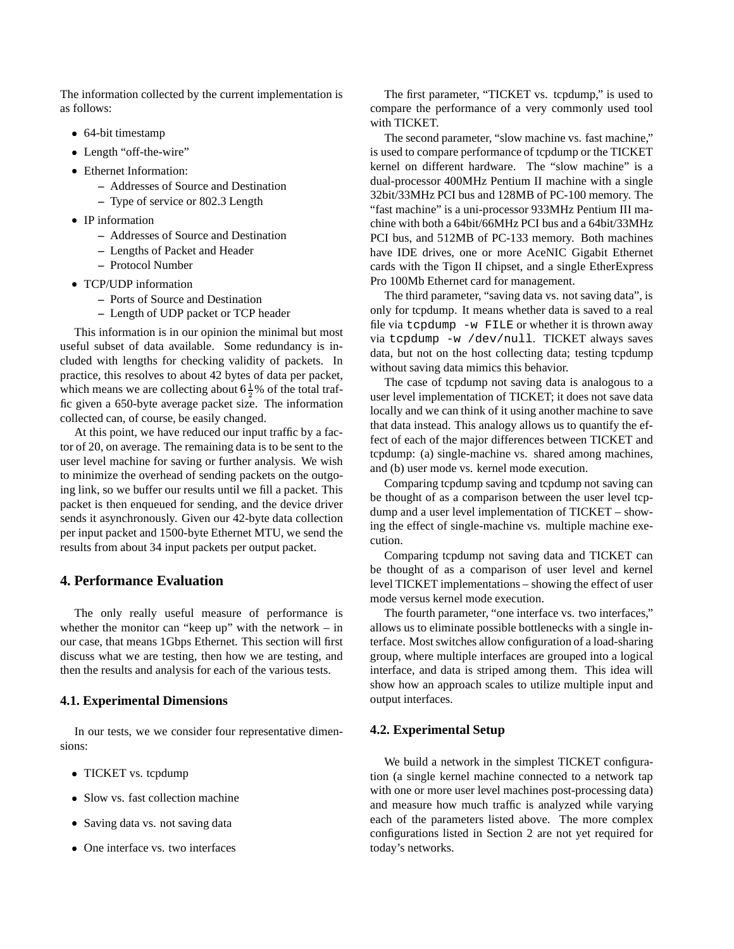The information collected by the current implementation is as follows:

- 64-bit timestamp
- Length "off-the-wire"
- Ethernet Information:
	- **–** Addresses of Source and Destination
	- **–** Type of service or 802.3 Length
- IP information
	- **–** Addresses of Source and Destination
	- **–** Lengths of Packet and Header
	- **–** Protocol Number
- TCP/UDP information
	- **–** Ports of Source and Destination
	- **–** Length of UDP packet or TCP header

This information is in our opinion the minimal but most useful subset of data available. Some redundancy is included with lengths for checking validity of packets. In practice, this resolves to about 42 bytes of data per packet, which means we are collecting about  $6\frac{1}{2}$ % of the total traffic given a 650-byte average packet size. The information collected can, of course, be easily changed.

At this point, we have reduced our input traffic by a factor of 20, on average. The remaining data is to be sent to the user level machine for saving or further analysis. We wish to minimize the overhead of sending packets on the outgoing link, so we buffer our results until we fill a packet. This packet is then enqueued for sending, and the device driver sends it asynchronously. Given our 42-byte data collection per input packet and 1500-byte Ethernet MTU, we send the results from about 34 input packets per output packet.

# **4. Performance Evaluation**

The only really useful measure of performance is whether the monitor can "keep up" with the network – in our case, that means 1Gbps Ethernet. This section will first discuss what we are testing, then how we are testing, and then the results and analysis for each of the various tests.

#### **4.1. Experimental Dimensions**

In our tests, we we consider four representative dimensions:

- TICKET vs. tcpdump
- Slow vs. fast collection machine
- Saving data vs. not saving data
- One interface vs. two interfaces

The first parameter, "TICKET vs. tcpdump," is used to compare the performance of a very commonly used tool with TICKET.

The second parameter, "slow machine vs. fast machine," is used to compare performance of tcpdump or the TICKET kernel on different hardware. The "slow machine" is a dual-processor 400MHz Pentium II machine with a single 32bit/33MHz PCI bus and 128MB of PC-100 memory. The "fast machine" is a uni-processor 933MHz Pentium III machine with both a 64bit/66MHz PCI bus and a 64bit/33MHz PCI bus, and 512MB of PC-133 memory. Both machines have IDE drives, one or more AceNIC Gigabit Ethernet cards with the Tigon II chipset, and a single EtherExpress Pro 100Mb Ethernet card for management.

The third parameter, "saving data vs. not saving data", is only for tcpdump. It means whether data is saved to a real file via tcpdump -w FILE or whether it is thrown away via tcpdump -w /dev/null. TICKET always saves data, but not on the host collecting data; testing tcpdump without saving data mimics this behavior.

The case of tcpdump not saving data is analogous to a user level implementation of TICKET; it does not save data locally and we can think of it using another machine to save that data instead. This analogy allows us to quantify the effect of each of the major differences between TICKET and tcpdump: (a) single-machine vs. shared among machines, and (b) user mode vs. kernel mode execution.

Comparing tcpdump saving and tcpdump not saving can be thought of as a comparison between the user level tcpdump and a user level implementation of TICKET – showing the effect of single-machine vs. multiple machine execution.

Comparing tcpdump not saving data and TICKET can be thought of as a comparison of user level and kernel level TICKET implementations – showing the effect of user mode versus kernel mode execution.

The fourth parameter, "one interface vs. two interfaces," allows us to eliminate possible bottlenecks with a single interface. Mostswitches allow configuration of a load-sharing group, where multiple interfaces are grouped into a logical interface, and data is striped among them. This idea will show how an approach scales to utilize multiple input and output interfaces.

#### **4.2. Experimental Setup**

We build a network in the simplest TICKET configuration (a single kernel machine connected to a network tap with one or more user level machines post-processing data) and measure how much traffic is analyzed while varying each of the parameters listed above. The more complex configurations listed in Section 2 are not yet required for today's networks.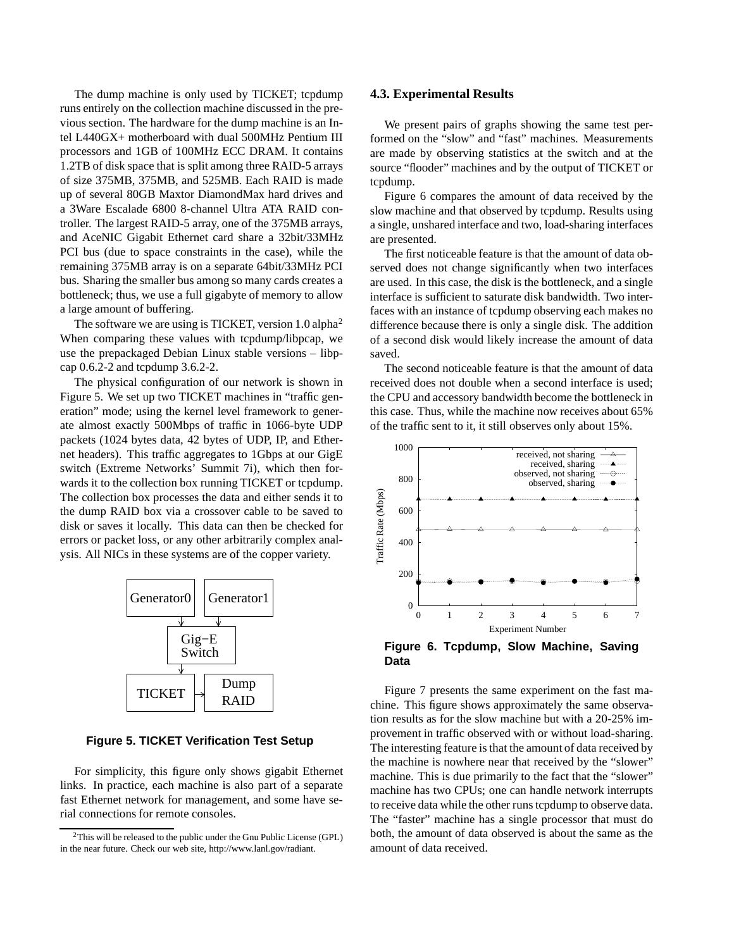The dump machine is only used by TICKET; tcpdump runs entirely on the collection machine discussed in the previous section. The hardware for the dump machine is an Intel L440GX+ motherboard with dual 500MHz Pentium III processors and 1GB of 100MHz ECC DRAM. It contains 1.2TB of disk space that is split among three RAID-5 arrays of size 375MB, 375MB, and 525MB. Each RAID is made up of several 80GB Maxtor DiamondMax hard drives and a 3Ware Escalade 6800 8-channel Ultra ATA RAID controller. The largest RAID-5 array, one of the 375MB arrays, and AceNIC Gigabit Ethernet card share a 32bit/33MHz PCI bus (due to space constraints in the case), while the remaining 375MB array is on a separate 64bit/33MHz PCI bus. Sharing the smaller bus among so many cards creates a bottleneck; thus, we use a full gigabyte of memory to allow a large amount of buffering.

The software we are using is TICKET, version  $1.0$  alpha<sup>2</sup> When comparing these values with tcpdump/libpcap, we use the prepackaged Debian Linux stable versions – libpcap 0.6.2-2 and tcpdump 3.6.2-2.

The physical configuration of our network is shown in Figure 5. We set up two TICKET machines in "traffic generation" mode; using the kernel level framework to generate almost exactly 500Mbps of traffic in 1066-byte UDP packets (1024 bytes data, 42 bytes of UDP, IP, and Ethernet headers). This traffic aggregates to 1Gbps at our GigE switch (Extreme Networks' Summit 7i), which then forwards it to the collection box running TICKET or tcpdump. The collection box processes the data and either sends it to the dump RAID box via a crossover cable to be saved to disk or saves it locally. This data can then be checked for errors or packet loss, or any other arbitrarily complex analysis. All NICs in these systems are of the copper variety.



**Figure 5. TICKET Verification Test Setup**

For simplicity, this figure only shows gigabit Ethernet links. In practice, each machine is also part of a separate fast Ethernet network for management, and some have serial connections for remote consoles.

#### **4.3. Experimental Results**

We present pairs of graphs showing the same test performed on the "slow" and "fast" machines. Measurements are made by observing statistics at the switch and at the source "flooder" machines and by the output of TICKET or tcpdump.

Figure 6 compares the amount of data received by the slow machine and that observed by tcpdump. Results using a single, unshared interface and two, load-sharing interfaces are presented.

The first noticeable feature is that the amount of data observed does not change significantly when two interfaces are used. In this case, the disk is the bottleneck, and a single interface is sufficient to saturate disk bandwidth. Two interfaces with an instance of tcpdump observing each makes no difference because there is only a single disk. The addition of a second disk would likely increase the amount of data saved.

The second noticeable feature is that the amount of data received does not double when a second interface is used; the CPU and accessory bandwidth become the bottleneck in this case. Thus, while the machine now receives about 65% of the traffic sent to it, it still observes only about 15%.



Figure 7 presents the same experiment on the fast machine. This figure shows approximately the same observation results as for the slow machine but with a 20-25% improvement in traffic observed with or without load-sharing. The interesting feature is that the amount of data received by the machine is nowhere near that received by the "slower" machine. This is due primarily to the fact that the "slower" machine has two CPUs; one can handle network interrupts to receive data while the other runstcpdump to observe data. The "faster" machine has a single processor that must do both, the amount of data observed is about the same as the amount of data received.

<sup>2</sup>This will be released to the public under the Gnu Public License (GPL) in the near future. Check our web site, http://www.lanl.gov/radiant.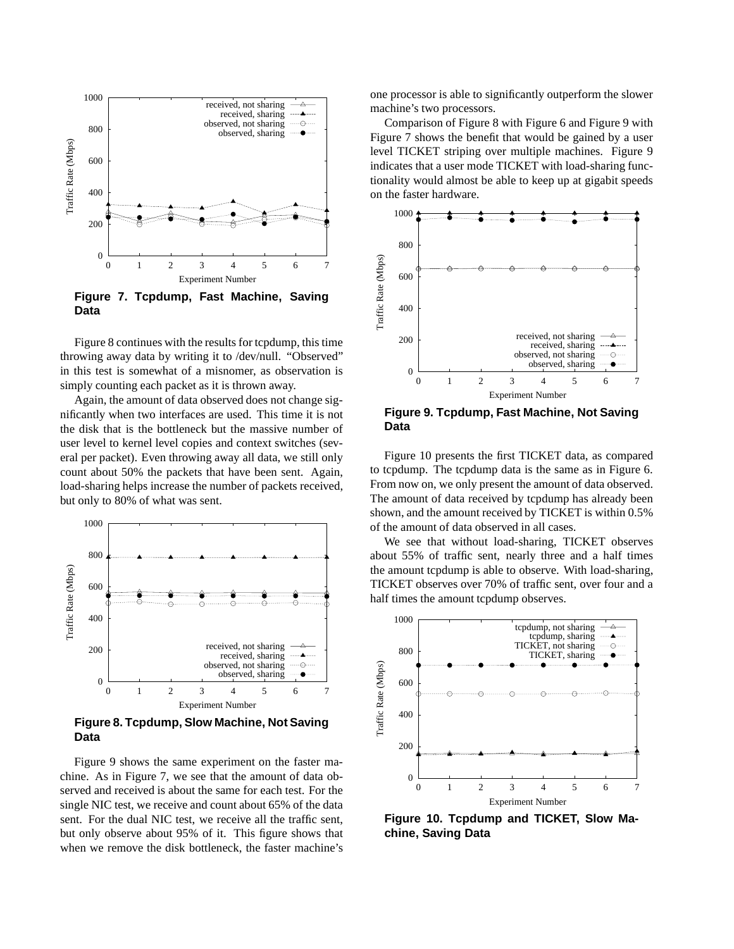

**Figure 7. Tcpdump, Fast Machine, Saving Data**

Figure 8 continues with the results for tcpdump, this time throwing away data by writing it to /dev/null. "Observed" in this test is somewhat of a misnomer, as observation is simply counting each packet as it is thrown away.

Again, the amount of data observed does not change significantly when two interfaces are used. This time it is not the disk that is the bottleneck but the massive number of user level to kernel level copies and context switches (several per packet). Even throwing away all data, we still only count about 50% the packets that have been sent. Again, load-sharing helps increase the number of packets received, but only to 80% of what was sent.



**Figure 8. Tcpdump, Slow Machine, Not Saving Data**

Figure 9 shows the same experiment on the faster machine. As in Figure 7, we see that the amount of data observed and received is about the same for each test. For the single NIC test, we receive and count about 65% of the data sent. For the dual NIC test, we receive all the traffic sent, but only observe about 95% of it. This figure shows that when we remove the disk bottleneck, the faster machine's one processor is able to significantly outperform the slower machine's two processors.

Comparison of Figure 8 with Figure 6 and Figure 9 with Figure 7 shows the benefit that would be gained by a user level TICKET striping over multiple machines. Figure 9 indicates that a user mode TICKET with load-sharing functionality would almost be able to keep up at gigabit speeds on the faster hardware.



**Figure 9. Tcpdump, Fast Machine, Not Saving Data**

Figure 10 presents the first TICKET data, as compared to tcpdump. The tcpdump data is the same as in Figure 6. From now on, we only present the amount of data observed. The amount of data received by tcpdump has already been shown, and the amount received by TICKET is within 0.5% of the amount of data observed in all cases.

We see that without load-sharing, TICKET observes about 55% of traffic sent, nearly three and a half times the amount tcpdump is able to observe. With load-sharing, TICKET observes over 70% of traffic sent, over four and a half times the amount tcpdump observes.



**Figure 10. Tcpdump and TICKET, Slow Machine, Saving Data**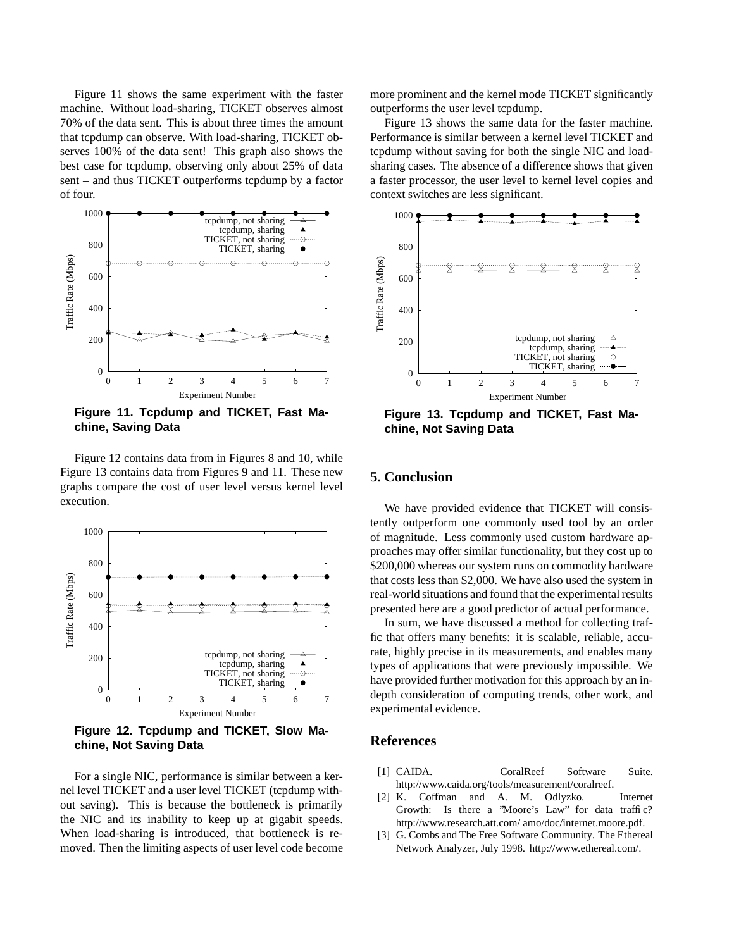Figure 11 shows the same experiment with the faster machine. Without load-sharing, TICKET observes almost 70% of the data sent. This is about three times the amount that tcpdump can observe. With load-sharing, TICKET observes 100% of the data sent! This graph also shows the best case for tcpdump, observing only about 25% of data sent – and thus TICKET outperforms tcpdump by a factor of four.



**Figure 11. Tcpdump and TICKET, Fast Machine, Saving Data**

Figure 12 contains data from in Figures 8 and 10, while Figure 13 contains data from Figures 9 and 11. These new graphs compare the cost of user level versus kernel level execution.

![](_page_9_Figure_4.jpeg)

**Figure 12. Tcpdump and TICKET, Slow Machine, Not Saving Data**

For a single NIC, performance is similar between a kernel level TICKET and a user level TICKET (tcpdump without saving). This is because the bottleneck is primarily the NIC and its inability to keep up at gigabit speeds. When load-sharing is introduced, that bottleneck is removed. Then the limiting aspects of user level code become more prominent and the kernel mode TICKET significantly outperforms the user level tcpdump.

Figure 13 shows the same data for the faster machine. Performance is similar between a kernel level TICKET and tcpdump without saving for both the single NIC and loadsharing cases. The absence of a difference shows that given a faster processor, the user level to kernel level copies and context switches are less significant.

![](_page_9_Figure_9.jpeg)

**Figure 13. Tcpdump and TICKET, Fast Machine, Not Saving Data**

# **5. Conclusion**

We have provided evidence that TICKET will consistently outperform one commonly used tool by an order of magnitude. Less commonly used custom hardware approaches may offer similar functionality, but they cost up to \$200,000 whereas our system runs on commodity hardware that costs less than \$2,000. We have also used the system in real-world situations and found that the experimental results presented here are a good predictor of actual performance.

In sum, we have discussed a method for collecting traffic that offers many benefits: it is scalable, reliable, accurate, highly precise in its measurements, and enables many types of applications that were previously impossible. We have provided further motivation for this approach by an indepth consideration of computing trends, other work, and experimental evidence.

# **References**

- [1] CAIDA. CoralReef Software Suite. http://www.caida.org/tools/measurement/coralreef.
- [2] K. Coffman and A. M. Odlyzko. Internet Growth: Is there a "Moore's Law" for data traffic? http://www.research.att.com/ amo/doc/internet.moore.pdf.
- [3] G. Combs and The Free Software Community. The Ethereal Network Analyzer, July 1998. http://www.ethereal.com/.